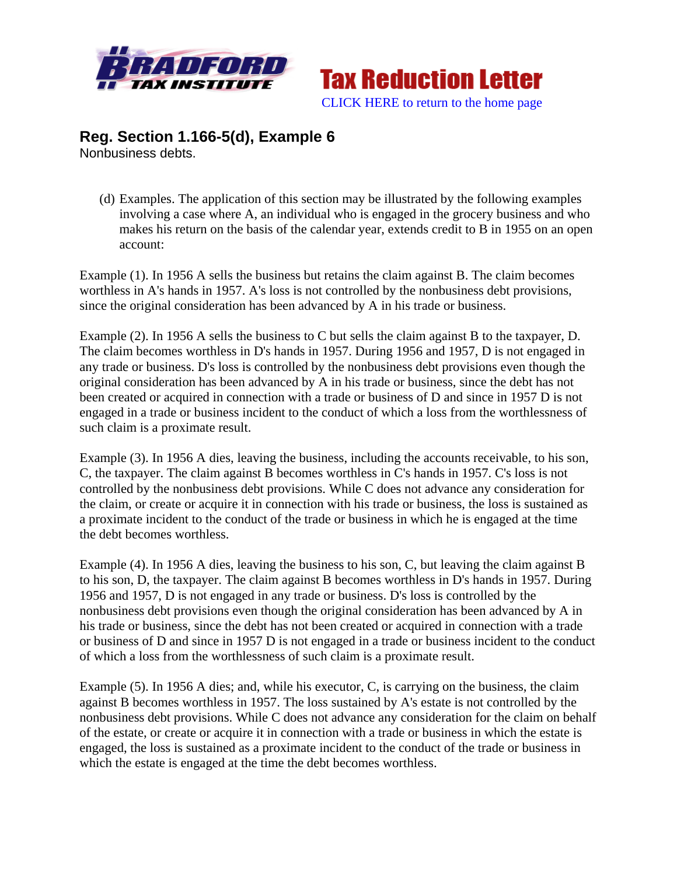



## **Reg. Section 1.166-5(d), Example 6**  Nonbusiness debts.

(d) Examples. The application of this section may be illustrated by the following examples involving a case where A, an individual who is engaged in the grocery business and who makes his return on the basis of the calendar year, extends credit to B in 1955 on an open account:

Example (1). In 1956 A sells the business but retains the claim against B. The claim becomes worthless in A's hands in 1957. A's loss is not controlled by the nonbusiness debt provisions, since the original consideration has been advanced by A in his trade or business.

Example (2). In 1956 A sells the business to C but sells the claim against B to the taxpayer, D. The claim becomes worthless in D's hands in 1957. During 1956 and 1957, D is not engaged in any trade or business. D's loss is controlled by the nonbusiness debt provisions even though the original consideration has been advanced by A in his trade or business, since the debt has not been created or acquired in connection with a trade or business of D and since in 1957 D is not engaged in a trade or business incident to the conduct of which a loss from the worthlessness of such claim is a proximate result.

Example (3). In 1956 A dies, leaving the business, including the accounts receivable, to his son, C, the taxpayer. The claim against B becomes worthless in C's hands in 1957. C's loss is not controlled by the nonbusiness debt provisions. While C does not advance any consideration for the claim, or create or acquire it in connection with his trade or business, the loss is sustained as a proximate incident to the conduct of the trade or business in which he is engaged at the time the debt becomes worthless.

Example (4). In 1956 A dies, leaving the business to his son, C, but leaving the claim against B to his son, D, the taxpayer. The claim against B becomes worthless in D's hands in 1957. During 1956 and 1957, D is not engaged in any trade or business. D's loss is controlled by the nonbusiness debt provisions even though the original consideration has been advanced by A in his trade or business, since the debt has not been created or acquired in connection with a trade or business of D and since in 1957 D is not engaged in a trade or business incident to the conduct of which a loss from the worthlessness of such claim is a proximate result.

Example (5). In 1956 A dies; and, while his executor, C, is carrying on the business, the claim against B becomes worthless in 1957. The loss sustained by A's estate is not controlled by the nonbusiness debt provisions. While C does not advance any consideration for the claim on behalf of the estate, or create or acquire it in connection with a trade or business in which the estate is engaged, the loss is sustained as a proximate incident to the conduct of the trade or business in which the estate is engaged at the time the debt becomes worthless.